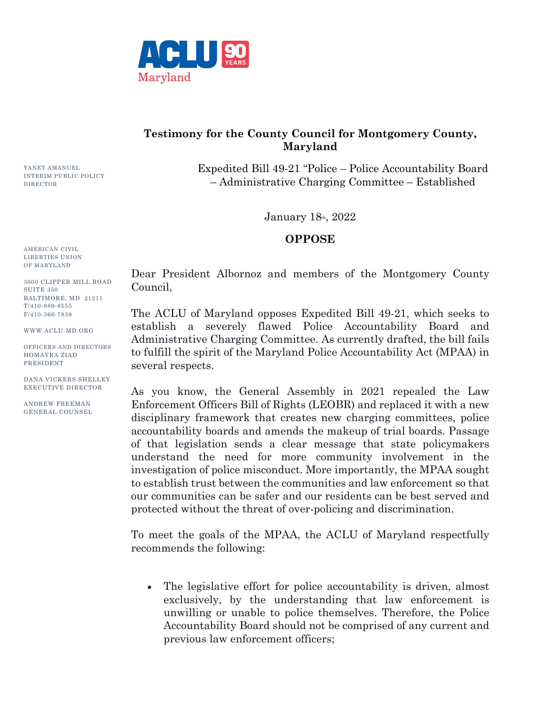

## **Testimony for the County Council for Montgomery County, Maryland**

Expedited Bill 49-21 "Police – Police Accountability Board – Administrative Charging Committee – Established

January  $18<sub>th</sub>$ ,  $2022$ 

## **OPPOSE**

AMERICAN CIVIL LIBERTIES UNION OF MARYLAND

YANET AMANUEL INTERIM PUBLIC POLICY

DIRECTOR

3600 CLIPPER MILL ROAD SUITE 350 BALTIMORE, MD 21211 T/410-889-8555 F/410-366-7838

WWW.ACLU-MD.ORG

OFFICERS AND DIRECTORS HOMAYRA ZIAD PRESIDENT

DANA VICKERS SHELLEY EXECUTIVE DIRECTOR

ANDREW FREEMAN GENERAL COUNSEL Dear President Albornoz and members of the Montgomery County Council,

The ACLU of Maryland opposes Expedited Bill 49-21, which seeks to establish a severely flawed Police Accountability Board and Administrative Charging Committee. As currently drafted, the bill fails to fulfill the spirit of the Maryland Police Accountability Act (MPAA) in several respects.

As you know, the General Assembly in 2021 repealed the Law Enforcement Officers Bill of Rights (LEOBR) and replaced it with a new disciplinary framework that creates new charging committees, police accountability boards and amends the makeup of trial boards. Passage of that legislation sends a clear message that state policymakers understand the need for more community involvement in the investigation of police misconduct. More importantly, the MPAA sought to establish trust between the communities and law enforcement so that our communities can be safer and our residents can be best served and protected without the threat of over-policing and discrimination.

To meet the goals of the MPAA, the ACLU of Maryland respectfully recommends the following:

• The legislative effort for police accountability is driven, almost exclusively, by the understanding that law enforcement is unwilling or unable to police themselves. Therefore, the Police Accountability Board should not be comprised of any current and previous law enforcement officers;